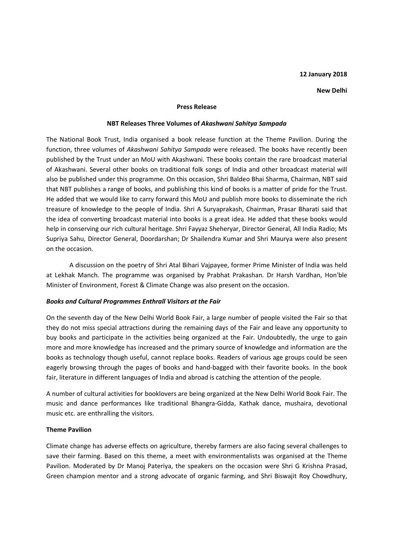## **12 January 2018**

#### **New Delhi**

#### **Press Release**

#### **NBT Releases Three Volumes of** *Akashwani Sahitya Sampada*

The National Book Trust, India organised a book release function at the Theme Pavilion. During the function, three volumes of *Akashwani Sahitya Sampada* were released. The books have recently been published by the Trust under an MoU with Akashwani. These books contain the rare broadcast material of Akashwani. Several other books on traditional folk songs of India and other broadcast material will also be published under this programme. On this occasion, Shri Baldeo Bhai Sharma, Chairman, NBT said that NBT publishes a range of books, and publishing this kind of books is a matter of pride for the Trust. He added that we would like to carry forward this MoU and publish more books to disseminate the rich treasure of knowledge to the people of India. Shri A Suryaprakash, Chairman, Prasar Bharati said that the idea of converting broadcast material into books is a great idea. He added that these books would help in conserving our rich cultural heritage. Shri Fayyaz Sheheryar, Director General, All India Radio; Ms Supriya Sahu, Director General, Doordarshan; Dr Shailendra Kumar and Shri Maurya were also present on the occasion.

A discussion on the poetry of Shri Atal Bihari Vajpayee, former Prime Minister of India was held at Lekhak Manch. The programme was organised by Prabhat Prakashan. Dr Harsh Vardhan, Hon'ble Minister of Environment, Forest & Climate Change was also present on the occasion.

## *Books and Cultural Programmes Enthrall Visitors at the Fair*

On the seventh day of the New Delhi World Book Fair, a large number of people visited the Fair so that they do not miss special attractions during the remaining days of the Fair and leave any opportunity to buy books and participate in the activities being organized at the Fair. Undoubtedly, the urge to gain more and more knowledge has increased and the primary source of knowledge and information are the books as technology though useful, cannot replace books. Readers of various age groups could be seen eagerly browsing through the pages of books and hand-bagged with their favorite books. In the book fair, literature in different languages of India and abroad is catching the attention of the people.

A number of cultural activities for booklovers are being organized at the New Delhi World Book Fair. The music and dance performances like traditional Bhangra-Gidda, Kathak dance, mushaira, devotional music etc. are enthralling the visitors.

## **Theme Pavilion**

Climate change has adverse effects on agriculture, thereby farmers are also facing several challenges to save their farming. Based on this theme, a meet with environmentalists was organised at the Theme Pavilion. Moderated by Dr Manoj Pateriya, the speakers on the occasion were Shri G Krishna Prasad, Green champion mentor and a strong advocate of organic farming, and Shri Biswajit Roy Chowdhury,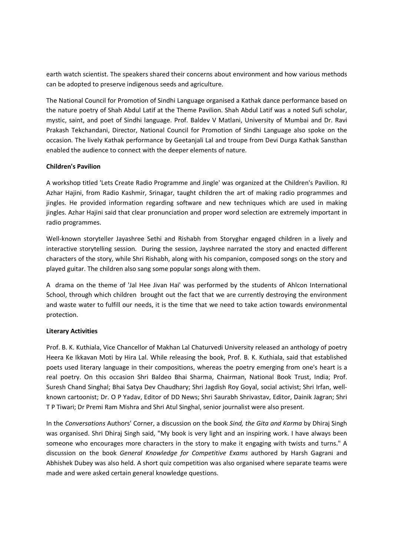earth watch scientist. The speakers shared their concerns about environment and how various methods can be adopted to preserve indigenous seeds and agriculture.

The National Council for Promotion of Sindhi Language organised a Kathak dance performance based on the nature poetry of Shah Abdul Latif at the Theme Pavilion. Shah Abdul Latif was a noted Sufi scholar, mystic, saint, and poet of Sindhi language. Prof. Baldev V Matlani, University of Mumbai and Dr. Ravi Prakash Tekchandani, Director, National Council for Promotion of Sindhi Language also spoke on the occasion. The lively Kathak performance by Geetanjali Lal and troupe from Devi Durga Kathak Sansthan enabled the audience to connect with the deeper elements of nature.

# **Children's Pavilion**

A workshop titled 'Lets Create Radio Programme and Jingle' was organized at the Children's Pavilion. RJ Azhar Hajini, from Radio Kashmir, Srinagar, taught children the art of making radio programmes and jingles. He provided information regarding software and new techniques which are used in making jingles. Azhar Hajini said that clear pronunciation and proper word selection are extremely important in radio programmes.

Well-known storyteller Jayashree Sethi and Rishabh from Storyghar engaged children in a lively and interactive storytelling session. During the session, Jayshree narrated the story and enacted different characters of the story, while Shri Rishabh, along with his companion, composed songs on the story and played guitar. The children also sang some popular songs along with them.

A drama on the theme of 'Jal Hee Jivan Hai' was performed by the students of Ahlcon International School, through which children brought out the fact that we are currently destroying the environment and waste water to fulfill our needs, it is the time that we need to take action towards environmental protection.

# **Literary Activities**

Prof. B. K. Kuthiala, Vice Chancellor of Makhan Lal Chaturvedi University released an anthology of poetry Heera Ke Ikkavan Moti by Hira Lal. While releasing the book, Prof. B. K. Kuthiala, said that established poets used literary language in their compositions, whereas the poetry emerging from one's heart is a real poetry. On this occasion Shri Baldeo Bhai Sharma, Chairman, National Book Trust, India; Prof. Suresh Chand Singhal; Bhai Satya Dev Chaudhary; Shri Jagdish Roy Goyal, social activist; Shri Irfan, wellknown cartoonist; Dr. O P Yadav, Editor of DD News; Shri Saurabh Shrivastav, Editor, Dainik Jagran; Shri T P Tiwari; Dr Premi Ram Mishra and Shri Atul Singhal, senior journalist were also present.

In the *Conversations* Authors' Corner, a discussion on the book *Sind, the Gita and Karma* by Dhiraj Singh was organised. Shri Dhiraj Singh said, "My book is very light and an inspiring work. I have always been someone who encourages more characters in the story to make it engaging with twists and turns." A discussion on the book *General Knowledge for Competitive Exams* authored by Harsh Gagrani and Abhishek Dubey was also held. A short quiz competition was also organised where separate teams were made and were asked certain general knowledge questions.